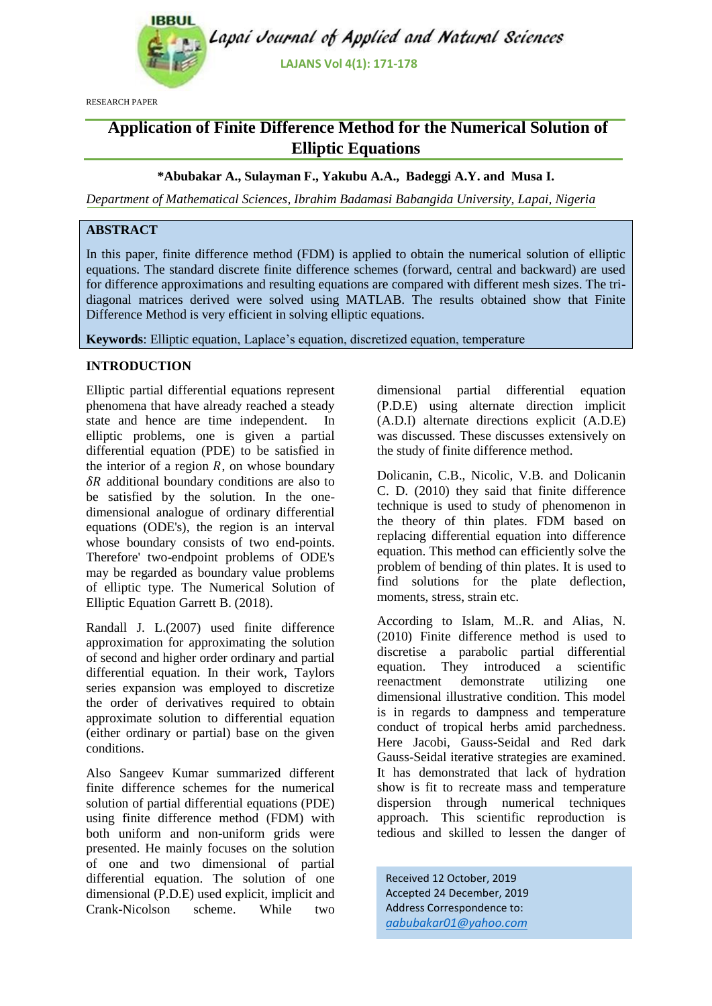

RESEARCH PAPER

# **Application of Finite Difference Method for the Numerical Solution of Elliptic Equations**

## **\*Abubakar A., Sulayman F., Yakubu A.A., Badeggi A.Y. and Musa I.**

*Department of Mathematical Sciences, Ibrahim Badamasi Babangida University, Lapai, Nigeria*

# **ABSTRACT**

In this paper, finite difference method (FDM) is applied to obtain the numerical solution of elliptic equations. The standard discrete finite difference schemes (forward, central and backward) are used for difference approximations and resulting equations are compared with different mesh sizes. The tridiagonal matrices derived were solved using MATLAB. The results obtained show that Finite Difference Method is very efficient in solving elliptic equations.

**Keywords**: Elliptic equation, Laplace's equation, discretized equation, temperature

## **INTRODUCTION**

Elliptic partial differential equations represent phenomena that have already reached a steady state and hence are time independent. In elliptic problems, one is given a partial differential equation (PDE) to be satisfied in the interior of a region  $R$ , on whose boundary  $\delta R$  additional boundary conditions are also to be satisfied by the solution. In the onedimensional analogue of ordinary differential equations (ODE's), the region is an interval whose boundary consists of two end-points. Therefore' two-endpoint problems of ODE's may be regarded as boundary value problems of elliptic type. The Numerical Solution of Elliptic Equation Garrett B. (2018).

Randall J. L.(2007) used finite difference approximation for approximating the solution of second and higher order ordinary and partial differential equation. In their work, Taylors series expansion was employed to discretize the order of derivatives required to obtain approximate solution to differential equation (either ordinary or partial) base on the given conditions.

Also Sangeev Kumar summarized different finite difference schemes for the numerical solution of partial differential equations (PDE) using finite difference method (FDM) with both uniform and non-uniform grids were presented. He mainly focuses on the solution of one and two dimensional of partial differential equation. The solution of one dimensional (P.D.E) used explicit, implicit and Crank-Nicolson scheme. While two

dimensional partial differential equation (P.D.E) using alternate direction implicit (A.D.I) alternate directions explicit (A.D.E) was discussed. These discusses extensively on the study of finite difference method.

Dolicanin, C.B., Nicolic, V.B. and Dolicanin C. D. (2010) they said that finite difference technique is used to study of phenomenon in the theory of thin plates. FDM based on replacing differential equation into difference equation. This method can efficiently solve the problem of bending of thin plates. It is used to find solutions for the plate deflection, moments, stress, strain etc.

According to Islam, M..R. and Alias, N. (2010) Finite difference method is used to discretise a parabolic partial differential equation. They introduced a scientific reenactment demonstrate utilizing one dimensional illustrative condition. This model is in regards to dampness and temperature conduct of tropical herbs amid parchedness. Here Jacobi, Gauss-Seidal and Red dark Gauss-Seidal iterative strategies are examined. It has demonstrated that lack of hydration show is fit to recreate mass and temperature dispersion through numerical techniques approach. This scientific reproduction is tedious and skilled to lessen the danger of

Received 12 October, 2019 Accepted 24 December, 2019 Address Correspondence to: *aabubakar01@yahoo.com*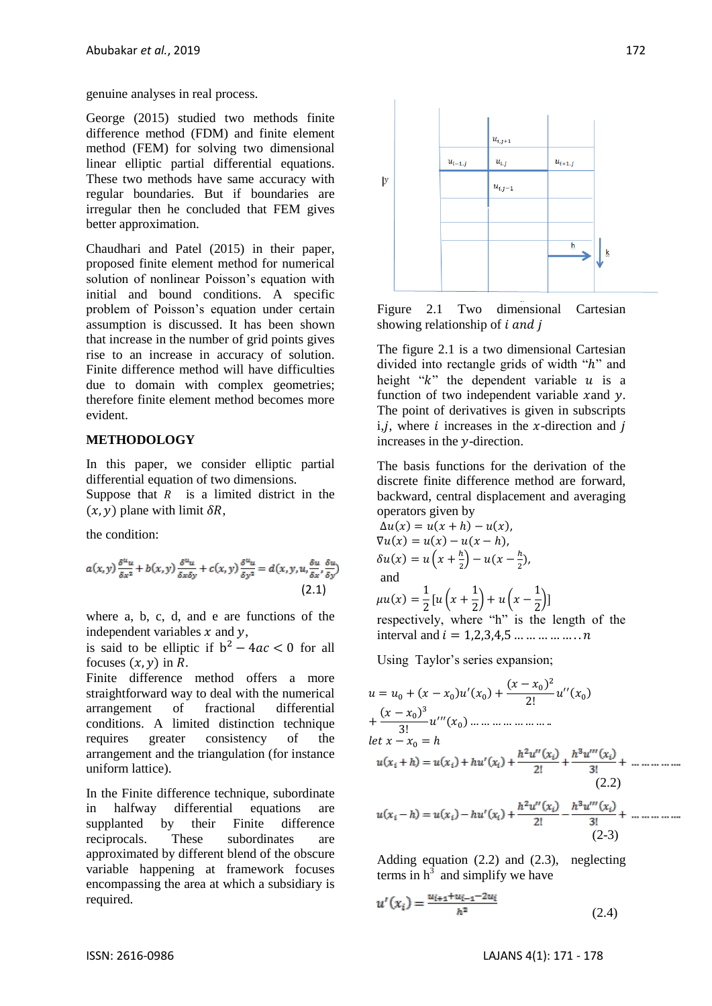genuine analyses in real process.

George (2015) studied two methods finite difference method (FDM) and finite element method (FEM) for solving two dimensional linear elliptic partial differential equations. These two methods have same accuracy with regular boundaries. But if boundaries are irregular then he concluded that FEM gives better approximation.

Chaudhari and Patel (2015) in their paper, proposed finite element method for numerical solution of nonlinear Poisson's equation with initial and bound conditions. A specific problem of Poisson's equation under certain assumption is discussed. It has been shown that increase in the number of grid points gives rise to an increase in accuracy of solution. Finite difference method will have difficulties due to domain with complex geometries; therefore finite element method becomes more evident.

## **METHODOLOGY**

In this paper, we consider elliptic partial differential equation of two dimensions.

Suppose that  $R$  is a limited district in the  $(x, y)$  plane with limit  $\delta R$ ,

the condition:

$$
a(x,y)\frac{\delta^{u}u}{\delta x^{2}} + b(x,y)\frac{\delta^{u}u}{\delta x \delta y} + c(x,y)\frac{\delta^{u}u}{\delta y^{2}} = d(x,y,u,\frac{\delta u}{\delta x},\frac{\delta u}{\delta y})
$$
\n(2.1)

where a, b, c, d, and e are functions of the independent variables  $x$  and  $y$ ,

is said to be elliptic if  $b^2 - 4ac < 0$  for all focuses  $(x, y)$  in R.

Finite difference method offers a more straightforward way to deal with the numerical arrangement of fractional differential conditions. A limited distinction technique requires greater consistency of the arrangement and the triangulation (for instance uniform lattice).

In the Finite difference technique, subordinate in halfway differential equations are supplanted by their Finite difference reciprocals. These subordinates are approximated by different blend of the obscure variable happening at framework focuses encompassing the area at which a subsidiary is required.



Figure 2.1 Two dimensional Cartesian showing relationship of *i and j* 

The figure 2.1 is a two dimensional Cartesian divided into rectangle grids of width " $h$ " and height " $k$ " the dependent variable  $u$  is a function of two independent variable xand  $\nu$ . The point of derivatives is given in subscripts i, *i*, where *i* increases in the *x*-direction and *i* increases in the  $\nu$ -direction.

The basis functions for the derivation of the discrete finite difference method are forward, backward, central displacement and averaging operators given by

$$
\Delta u(x) = u(x + h) - u(x),
$$
  
\n
$$
\nabla u(x) = u(x) - u(x - h),
$$
  
\n
$$
\delta u(x) = u\left(x + \frac{h}{2}\right) - u(x - \frac{h}{2}),
$$
  
\nand

 $\mu u(x) = \frac{1}{2}$  $\frac{1}{2}[u(x+\frac{1}{2}% )^{2}](x+1)^{2}$  $\frac{1}{2}$ ) + u (x -  $\frac{1}{2}$  $\frac{1}{2}]$ respectively, where "h" is the length of the interval and  $i = 1.2.3.4.5...$  ... ... ... ...  $n$ 

Using Taylor's series expansion;

$$
u = u_0 + (x - x_0)u'(x_0) + \frac{(x - x_0)^2}{2!}u''(x_0)
$$
  
+ 
$$
\frac{(x - x_0)^3}{3!}u'''(x_0) + \frac{(x - x_0)^2}{2!}u'''(x_0) + \frac{(x - x_0)^2}{2!}u'''(x_0)
$$
  
let  $x - x_0 = h$   

$$
u(x_i + h) = u(x_i) + hu'(x_i) + \frac{h^2u''(x_i)}{2!} + \frac{h^3u'''(x_i)}{3!} + \dots
$$
  
(2.2)  

$$
u(x_i - h) = u(x_i) - hu'(x_i) + \frac{h^2u''(x_i)}{2!} - \frac{h^3u'''(x_i)}{3!} + \dots
$$
  
(2-3)

Adding equation (2.2) and (2.3), neglecting terms in  $h^3$  and simplify we have

$$
u'(x_i) = \frac{u_{i+1} + u_{i-1} - 2u_i}{h^2}
$$
 (2.4)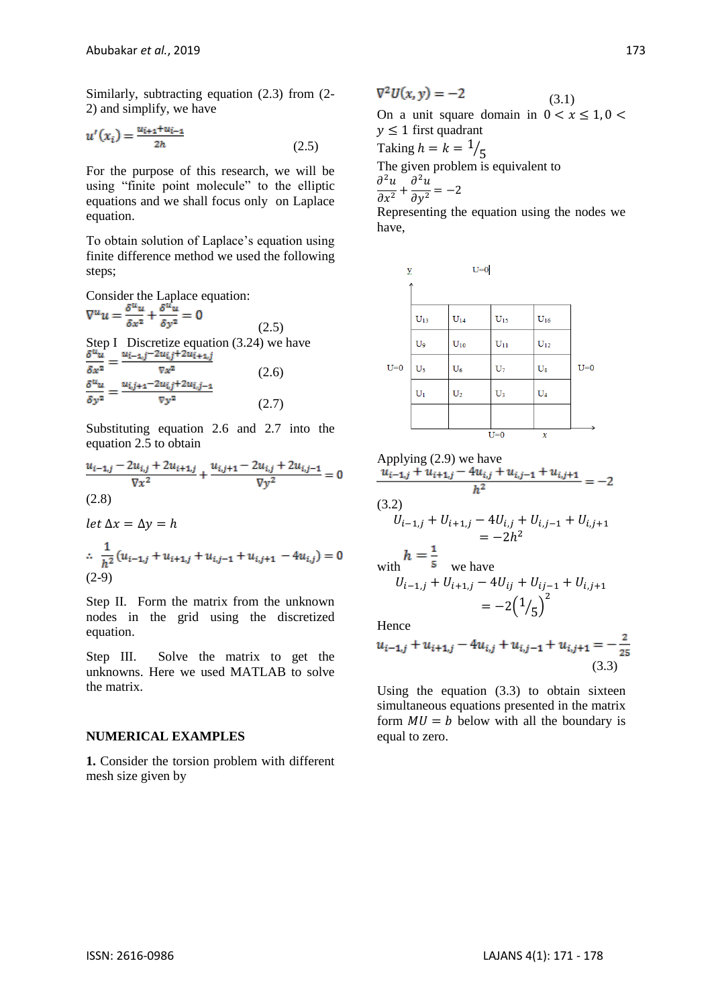Similarly, subtracting equation (2.3) from (2- 2) and simplify, we have

$$
u'(x_i) = \frac{u_{i+1} + u_{i-1}}{2h} \tag{2.5}
$$

For the purpose of this research, we will be using "finite point molecule" to the elliptic equations and we shall focus only on Laplace equation.

To obtain solution of Laplace's equation using finite difference method we used the following steps;

Consider the Laplace equation:<br>  $\nabla^u u = \frac{\delta^u u}{\delta x^2} + \frac{\delta^u u}{\delta y^2} = 0$ 

(2.5) Step I Discretize equation (3.24) we have<br>  $\frac{\delta^{u} u}{\delta x^{2}} = \frac{u_{i-1,j} - 2u_{i,j} + 2u_{i+1,j}}{\nabla x^{2}}$  $\nabla x^2$ (2.6)  $=\frac{u_{i,j+1}-2u_{i,j}+2u_{i,j-1}}{\nabla y^2}$  $\delta v^2$ (2.7)

Substituting equation 2.6 and 2.7 into the equation 2.5 to obtain

$$
\frac{u_{i-1,j} - 2u_{i,j} + 2u_{i+1,j}}{\nabla x^2} + \frac{u_{i,j+1} - 2u_{i,j} + 2u_{i,j-1}}{\nabla y^2} = 0
$$
\n(2.8)

let  $\Delta x = \Delta y = h$ 

$$
\therefore \frac{1}{h^2} (u_{i-1,j} + u_{i+1,j} + u_{i,j-1} + u_{i,j+1} - 4u_{i,j}) = 0
$$
  
(2-9)

Step II. Form the matrix from the unknown nodes in the grid using the discretized equation.

Step III. Solve the matrix to get the unknowns. Here we used MATLAB to solve the matrix.

#### **NUMERICAL EXAMPLES**

**1.** Consider the torsion problem with different mesh size given by

$$
\nabla^2 U(x, y) = -2
$$
\nOn a unit square domain in  $0 < x \le 1, 0 < y \le 1$  first quadrant  
\nTaking  $h = k = \frac{1}{5}$   
\nThe given problem is equivalent to  
\n
$$
\frac{\partial^2 u}{\partial x^2} + \frac{\partial^2 u}{\partial y^2} = -2
$$

 $\boldsymbol{\mathcal{N}}$ 

Representing the equation using the nodes we have,



Applying 
$$
(2.9)
$$
 we have

$$
\frac{u_{i-1,j} + u_{i+1,j} - 4u_{i,j} + u_{i,j-1} + u_{i,j+1}}{h^2} = -2
$$

(3.2)  
\n
$$
U_{i-1,j} + U_{i+1,j} - 4U_{i,j} + U_{i,j-1} + U_{i,j+1}
$$
\n
$$
= -2h^2
$$
\nwith\n
$$
h = \frac{1}{5}
$$
\nwe have\n
$$
U_{i-1,j} + U_{i+1,j} - 4U_{ij} + U_{i,j-1} + U_{i,j+1}
$$
\n
$$
= -2(1/5)^2
$$

Hence

$$
u_{i-1,j} + u_{i+1,j} - 4u_{i,j} + u_{i,j-1} + u_{i,j+1} = -\frac{2}{25}
$$
\n(3.3)

Using the equation (3.3) to obtain sixteen simultaneous equations presented in the matrix form  $MU = b$  below with all the boundary is equal to zero.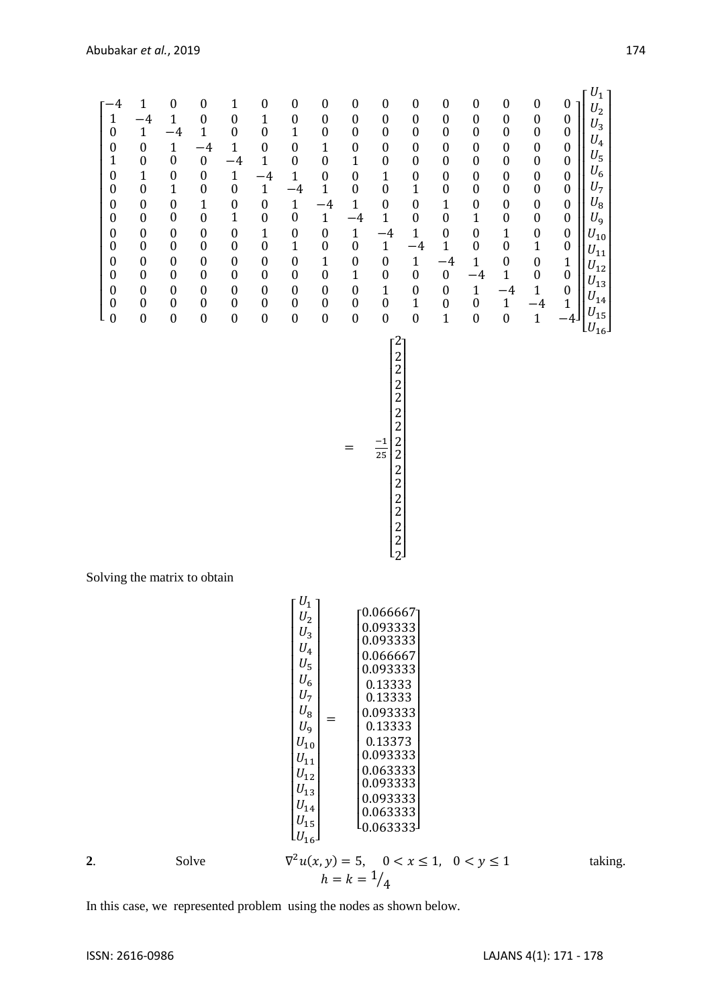I I I I I I I I I I I I I I

 $h = k = \frac{1}{4}$ 

 $U_1$ 

I

 $\overline{\phantom{a}}$  $\overline{\phantom{a}}$ 

I  $\overline{\phantom{a}}$  $\overline{\phantom{a}}$ I I  $\overline{\phantom{a}}$ I I I  $\overline{\phantom{a}}$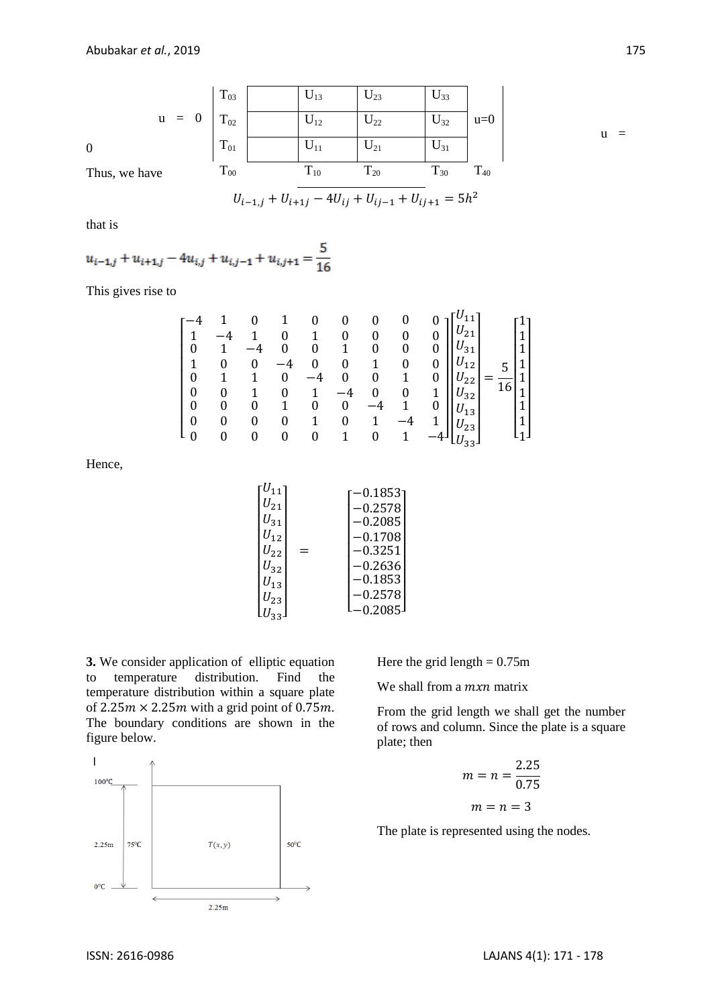$$
u = 0 \begin{vmatrix} T_{03} & U_{13} & U_{23} & U_{33} \\ T_{02} & U_{12} & U_{22} & U_{32} \\ T_{01} & U_{11} & U_{21} & U_{31} \\ T_{00} & T_{10} & T_{20} & T_{30} & T_{40} \end{vmatrix} u = 0
$$

$$
U_{i-1,j} + U_{i+1,j} - 4U_{ij} + U_{ij-1} + U_{ij+1} = 5h^2
$$

that is

$$
u_{i-1,j} + u_{i+1,j} - 4u_{i,j} + u_{i,j-1} + u_{i,j+1} = \frac{5}{16}
$$

This gives rise to

| $\boldsymbol{0}$<br>$\mathbf{1}$<br>$\boldsymbol{0}$<br>$\boldsymbol{0}$<br>$\boldsymbol{0}$<br>$\boldsymbol{0}$ | $\overline{0}$<br>0<br>0 | -4<br>0<br>0<br>0 | 0<br>-4<br>0<br>1<br>0 | 1<br>0<br>$-4$<br>0<br>$\mathbf{1}$ | $\boldsymbol{0}$<br>$\mathbf{1}$<br>$\boldsymbol{0}$<br>0<br>-4<br>$\boldsymbol{0}$<br>$\boldsymbol{0}$ | 0<br>0<br>$\mathbf{1}$<br>$\boldsymbol{0}$ | 0<br>0<br>$\boldsymbol{0}$<br>0 | $\boldsymbol{0}$<br>0<br>0<br>0<br>$\mathbf{1}$<br>0 | $U_{21}$<br>$U_{31}$<br>$v_{12}$<br>$v_{22}$<br>$ U_{32} $<br>$ U_{13} $<br>$U_{23}$ | 1<br>$\mathbf{1}$<br>$\mathbf{1}$<br>$\blacktriangleleft$<br>$\overline{16}$<br>$\mathbf 1$<br>$\mathbf{1}$<br>$\blacktriangleleft$ |  |
|------------------------------------------------------------------------------------------------------------------|--------------------------|-------------------|------------------------|-------------------------------------|---------------------------------------------------------------------------------------------------------|--------------------------------------------|---------------------------------|------------------------------------------------------|--------------------------------------------------------------------------------------|-------------------------------------------------------------------------------------------------------------------------------------|--|
| $L_{0}$                                                                                                          |                          |                   | 0                      | $\boldsymbol{0}$                    | $\mathbf{1}$                                                                                            | 0                                          |                                 |                                                      | $\text{L}U_{33}$                                                                     |                                                                                                                                     |  |

Hence,

| $U_{11}$ | 0.1853    |
|----------|-----------|
| $U_{21}$ | 0.2578    |
| $U_{31}$ | $-0.2085$ |
| $U_{12}$ | 0.1708    |
| $U_{22}$ | $-0.3251$ |
| $U_{32}$ | 0.2636    |
| $U_{13}$ | $-0.1853$ |
|          | 0.2578    |
|          | 0.2085    |
| $U_{23}$ |           |

**3.** We consider application of elliptic equation to temperature distribution. Find the temperature distribution within a square plate of  $2.25m \times 2.25m$  with a grid point of 0.75m. The boundary conditions are shown in the figure below.



Here the grid length  $= 0.75$ m

We shall from a mxn matrix

From the grid length we shall get the number of rows and column. Since the plate is a square plate; then

$$
m = n = \frac{2.25}{0.75}
$$

$$
m = n = 3
$$

The plate is represented using the nodes.

 $u =$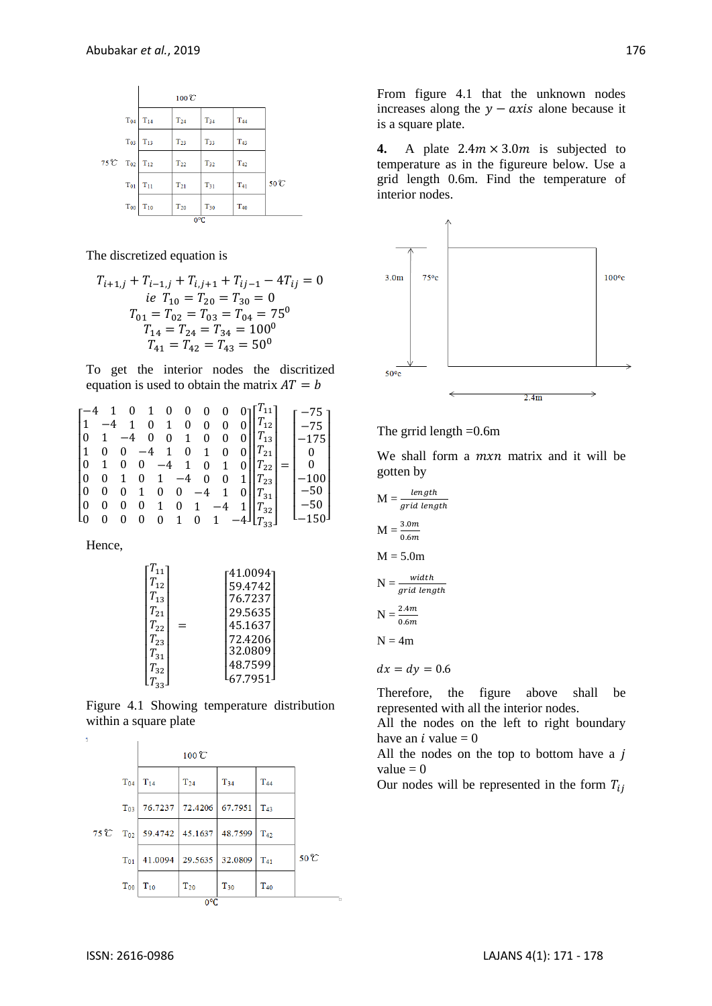

The discretized equation is

$$
T_{i+1,j} + T_{i-1,j} + T_{i,j+1} + T_{i,j-1} - 4T_{ij} = 0
$$
  
\n*ie*  $T_{10} = T_{20} = T_{30} = 0$   
\n
$$
T_{01} = T_{02} = T_{03} = T_{04} = 75^0
$$
  
\n
$$
T_{14} = T_{24} = T_{34} = 100^0
$$
  
\n
$$
T_{41} = T_{42} = T_{43} = 50^0
$$

To get the interior nodes the discritized equation is used to obtain the matrix  $AT = b$ 

$$
\begin{bmatrix}\n-4 & 1 & 0 & 1 & 0 & 0 & 0 & 0 & 0 \\
1 & -4 & 1 & 0 & 1 & 0 & 0 & 0 & 0 \\
0 & 1 & -4 & 0 & 0 & 1 & 0 & 0 & 0 \\
1 & 0 & 0 & -4 & 1 & 0 & 1 & 0 & 0 \\
0 & 1 & 0 & 0 & -4 & 1 & 0 & 1 & 0 \\
0 & 0 & 1 & 0 & 1 & -4 & 0 & 0 & 1 \\
0 & 0 & 0 & 0 & 1 & 0 & -4 & 1 & 0 \\
0 & 0 & 0 & 0 & 1 & 0 & 1 & -4 & 1 \\
0 & 0 & 0 & 0 & 0 & 1 & 0 & 1 & -4 & 1 \\
0 & 0 & 0 & 0 & 0 & 1 & 0 & 1 & -4 & 1\n\end{bmatrix}\n\begin{bmatrix}\nT_{11} \\
T_{12} \\
T_{23} \\
T_{24} \\
T_{31} \\
T_{32} \\
T_{33} \\
T_{34} \\
T_{35} \\
T_{36} \\
T_{37} \\
T_{38} \\
T_{39} \\
T_{31} \\
T_{32} \\
T_{33} \\
T_{34} \\
T_{35} \\
T_{36} \\
T_{37} \\
T_{38} \\
T_{39} \\
T_{30} \\
T_{31} \\
T_{32} \\
T_{35} \\
T_{36} \\
T_{37} \\
T_{38} \\
T_{39} \\
T_{30} \\
T_{31} \\
T_{32} \\
T_{33} \\
T_{34} \\
T_{35} \\
T_{36} \\
T_{37} \\
T_{38} \\
T_{39} \\
T_{30} \\
T_{31} \\
T_{32} \\
T_{33} \\
T_{34} \\
T_{35} \\
T_{36} \\
T_{37} \\
T_{38} \\
T_{39} \\
T_{30} \\
T_{31} \\
T_{32} \\
T_{33} \\
T_{34} \\
T_{35} \\
T_{36} \\
T_{37} \\
T_{38} \\
T_{39} \\
T_{30} \\
T_{31} \\
T_{32} \\
T_{33} \\
T_{34} \\
T_{35} \\
T_{36} \\
T_{37} \\
T_{38} \\
T_{39} \\
T_{30} \\
T_{31} \\
T_{32} \\
T_{33} \\
T_{34} \\
T_{35} \\
T_{36} \\
T_{37} \\
T_{38
$$

Hence,

$$
\begin{bmatrix} T_{11} \\ T_{12} \\ T_{13} \\ T_{21} \\ T_{22} \\ T_{23} \\ T_{31} \\ T_{32} \\ T_{33} \end{bmatrix} = \begin{bmatrix} 41.0094 \\ 59.4742 \\ 76.7237 \\ 29.5635 \\ 45.1637 \\ 72.4206 \\ 32.0809 \\ 48.7599 \\ 67.7951 \end{bmatrix}
$$

Figure 4.1 Showing temperature distribution within a square plate



From figure 4.1 that the unknown nodes increases along the  $y - axis$  alone because it is a square plate.

**4.** A plate  $2.4m \times 3.0m$  is subjected to temperature as in the figureure below. Use a grid length 0.6m. Find the temperature of interior nodes.



The grrid length =0.6m

We shall form a  $mxn$  matrix and it will be gotten by

$$
M = \frac{length}{grid length}
$$
  
\n
$$
M = \frac{3.0m}{0.6m}
$$
  
\n
$$
M = 5.0m
$$
  
\n
$$
N = \frac{width}{grid length}
$$
  
\n
$$
N = \frac{2.4m}{0.6m}
$$
  
\n
$$
N = 4m
$$
  
\n
$$
dx = dy = 0.6
$$

Therefore, the figure above shall be represented with all the interior nodes.

All the nodes on the left to right boundary have an *i* value  $= 0$ 

All the nodes on the top to bottom have a  $j$ value  $= 0$ 

Our nodes will be represented in the form  $T_{ij}$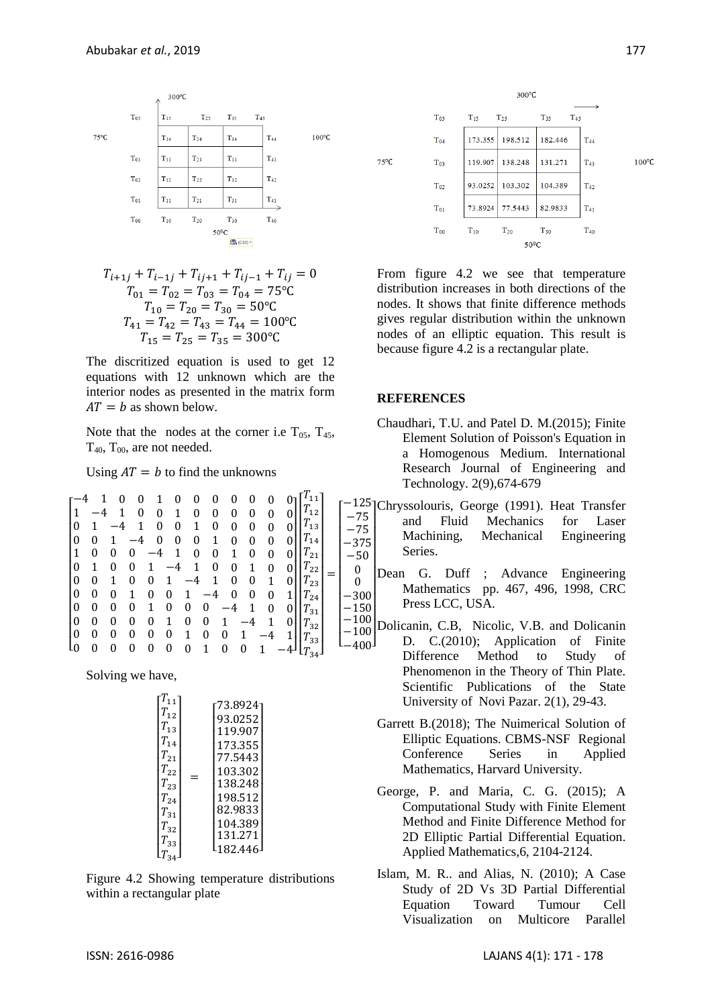

$$
T_{i+1j} + T_{i-1j} + T_{ij+1} + T_{ij-1} + T_{ij} = 0
$$
  
\n
$$
T_{01} = T_{02} = T_{03} = T_{04} = 75^{\circ}\text{C}
$$
  
\n
$$
T_{10} = T_{20} = T_{30} = 50^{\circ}\text{C}
$$
  
\n
$$
T_{41} = T_{42} = T_{43} = T_{44} = 100^{\circ}\text{C}
$$
  
\n
$$
T_{15} = T_{25} = T_{35} = 300^{\circ}\text{C}
$$

The discritized equation is used to get 12 equations with 12 unknown which are the interior nodes as presented in the matrix form  $AT = b$  as shown below.

Note that the nodes at the corner i.e  $T_{05}$ ,  $T_{45}$ ,  $T_{40}$ ,  $T_{00}$ , are not needed.

Using  $AT = b$  to find the unknowns

$$
\begin{bmatrix}\n-4 & 1 & 0 & 0 & 1 & 0 & 0 & 0 & 0 & 0 & 0 & 0 \\
1 & -4 & 1 & 0 & 0 & 1 & 0 & 0 & 0 & 0 & 0 & 0 \\
0 & 1 & -4 & 1 & 0 & 0 & 1 & 0 & 0 & 0 & 0 & 0 \\
0 & 0 & 1 & -4 & 0 & 0 & 0 & 1 & 0 & 0 & 0 & 0 \\
1 & 0 & 0 & 0 & -4 & 1 & 0 & 0 & 1 & 0 & 0 & 0 \\
0 & 1 & 0 & 0 & 1 & -4 & 1 & 0 & 0 & 1 & 0 & 0 \\
0 & 0 & 1 & 0 & 0 & 1 & -4 & 1 & 0 & 0 & 1 & 0 \\
0 & 0 & 0 & 1 & 0 & 0 & 1 & -4 & 0 & 0 & 0 & 1 \\
0 & 0 & 0 & 0 & 1 & 0 & 0 & 0 & -4 & 1 & 0 & 0 \\
0 & 0 & 0 & 0 & 0 & 1 & 0 & 0 & 1 & -4 & 1 & 0 \\
0 & 0 & 0 & 0 & 0 & 0 & 1 & 0 & 0 & 1 & -4 & 1 \\
0 & 0 & 0 & 0 & 0 & 0 & 0 & 1 & 0 & 0 & 1 & -4 & 1 \\
0 & 0 & 0 & 0 & 0 & 0 & 0 & 1 & 0 & 0 & 1 & -4 & 1 \\
0 & 0 & 0 & 0 & 0 & 0 & 0 & 1 & 0 & 0 & 1 & -4 & 1 \\
0 & 0 & 0 & 0 & 0 & 0 & 0 & 1 & 0 & 0 & 1 & -4 & 1 \\
0 & 0 & 0 & 0 & 0 & 0 & 0 & 1 & 0 & 0 & 1 & -4 & 1 \\
0 & 0 & 0 & 0 & 0 & 0 & 0 & 1 & 0 & 0 & 1 & -4 & 1 \\
0 & 0 & 0 & 0 & 0 & 0 & 0 & 1 & 0 & 0 & 1 & -4 & 1\n\end{bmatrix}\n\begin{bmatrix}\nT_{11} \\
T_{12} \\
T_{21} \\
T_{32} \\
T_{41} \\
T_{52} \\
T_{61} \\
T_{73} \\
T_{81} \\
T_{91} \\
T_{10} \\
T_{11} \\
T_{12} \\
T_{23} \\
T_{3
$$

Solving we have,

| $T_{11}$<br>$T_{\rm 12}$<br>$T_{13}$<br>$T_{14}$<br>$T_{21}$<br>$T_{22}$<br>$T_{23}$<br>$T_{24}$<br>$T_{31}$<br>$T_{32}$ | ד73.8924<br>93.0252<br>119.907<br>173.355<br>77.5443<br>103.302<br>138.248<br>198.512<br>82.9833<br>104.389<br>131.271 |
|--------------------------------------------------------------------------------------------------------------------------|------------------------------------------------------------------------------------------------------------------------|
|                                                                                                                          |                                                                                                                        |
| $T_{33}$                                                                                                                 | $-182.446$                                                                                                             |
| $T_{34}$                                                                                                                 |                                                                                                                        |

Figure 4.2 Showing temperature distributions within a rectangular plate



From figure 4.2 we see that temperature distribution increases in both directions of the nodes. It shows that finite difference methods gives regular distribution within the unknown nodes of an elliptic equation. This result is because figure 4.2 is a rectangular plate.

#### **REFERENCES**

 $\boldsymbol{0}$  $\bf{0}$ 

- Chaudhari, T.U. and Patel D. M.(2015); Finite Element Solution of Poisson's Equation in a Homogenous Medium. International Research Journal of Engineering and Technology. 2(9),674-679
- $^{-125}$ Chryssolouris, George (1991). Heat Transfer  $-75$  $-75$  $-375$  $-50$ I I I and Fluid Mechanics for Laser Machining, Mechanical Engineering Series.
	- $-300$  $-150$  Dean G. Duff ; Advance Engineering I Mathematics pp. 467, 496, 1998, CRC Press LCC, USA.
	- $-100$ لـ400-Dolicanin, C.B, Nicolic, V.B. and Dolicanin D. C.(2010); Application of Finite Difference Method to Study of Phenomenon in the Theory of Thin Plate. Scientific Publications of the State University of Novi Pazar. 2(1), 29-43.
		- Garrett B.(2018); The Nuimerical Solution of Elliptic Equations. CBMS-NSF Regional Conference Series in Applied Mathematics, Harvard University.
		- George, P. and Maria, C. G. (2015); A Computational Study with Finite Element Method and Finite Difference Method for 2D Elliptic Partial Differential Equation. Applied Mathematics,6, 2104-2124.
		- Islam, M. R.. and Alias, N. (2010); A Case Study of 2D Vs 3D Partial Differential Equation Toward Tumour Cell Visualization on Multicore Parallel